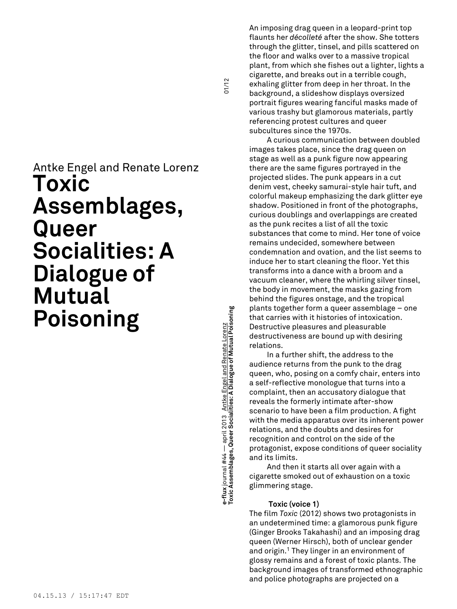# Antke Engel and Renate Lorenz **Toxic Assemblages, Queer Socialities: A Dialogue of Mutual Poisoning**

**Toxic Assemblages, Queer Socialities: A Dialogue of Mutual Poisoning** 01/12 e-flux journal #44 — april 2013 <u>Antke Engel and Renate Lorenz</u><br>Toxic Assemblages, Queer Socialities: A Dialogue of Mutual Poisoning **e-flux** journal #44 — april 2013 Antke Engel and Renate Lorenz

 $01/12$ 

An imposing drag queen in a leopard-print top flaunts her *décolleté* after the show. She totters through the glitter, tinsel, and pills scattered on the floor and walks over to a massive tropical plant, from which she fishes out a lighter, lights a cigarette, and breaks out in a terrible cough, exhaling glitter from deep in her throat. In the background, a slideshow displays oversized portrait figures wearing fanciful masks made of various trashy but glamorous materials, partly referencing protest cultures and queer subcultures since the 1970s.

A curious communication between doubled images takes place, since the drag queen on stage as well as a punk figure now appearing there are the same figures portrayed in the projected slides. The punk appears in a cut denim vest, cheeky samurai-style hair tuft, and colorful makeup emphasizing the dark glitter eye shadow. Positioned in front of the photographs, curious doublings and overlappings are created as the punk recites a list of all the toxic substances that come to mind. Her tone of voice remains undecided, somewhere between condemnation and ovation, and the list seems to induce her to start cleaning the floor. Yet this transforms into a dance with a broom and a vacuum cleaner, where the whirling silver tinsel, the body in movement, the masks gazing from behind the figures onstage, and the tropical plants together form a queer assemblage – one that carries with it histories of intoxication. Destructive pleasures and pleasurable destructiveness are bound up with desiring relations.

In a further shift, the address to the audience returns from the punk to the drag queen, who, posing on a comfy chair, enters into a self-reflective monologue that turns into a complaint, then an accusatory dialogue that reveals the formerly intimate after-show scenario to have been a film production. A fight with the media apparatus over its inherent power relations, and the doubts and desires for recognition and control on the side of the protagonist, expose conditions of queer sociality and its limits.

And then it starts all over again with a cigarette smoked out of exhaustion on a toxic glimmering stage.

# **Toxic (voice 1)**

The film *Toxic* (2012) shows two protagonists in an undetermined time: a glamorous punk figure (Ginger Brooks Takahashi) and an imposing drag queen (Werner Hirsch), both of unclear gender and origin. <sup>1</sup> They linger in an environment of glossy remains and a forest of toxic plants. The background images of transformed ethnographic and police photographs are projected on a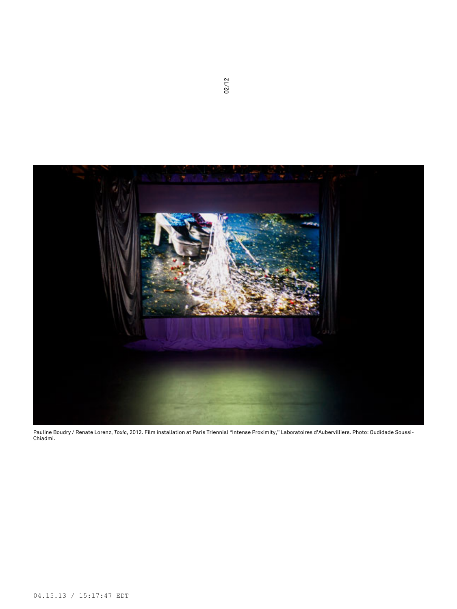

Pauline Boudry / Renate Lorenz, *Toxic*, 2012. Film installation at Paris Triennial "Intense Proximity," Laboratoires d'Aubervilliers. Photo: Oudidade Soussi-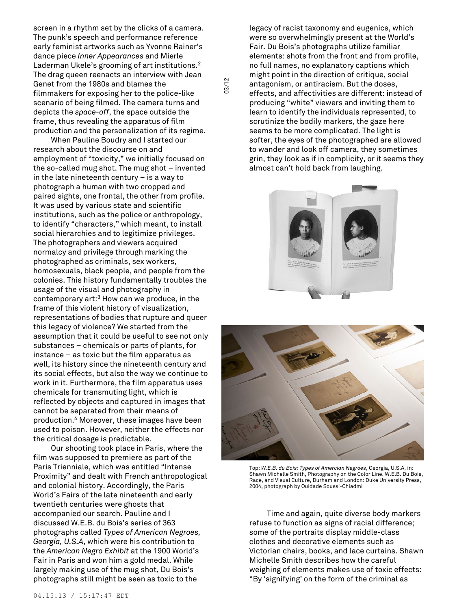screen in a rhythm set by the clicks of a camera. The punk's speech and performance reference early feminist artworks such as Yvonne Rainer's dance piece *Inner Appearances* and Mierle Laderman Ukele's grooming of art institutions. 2 The drag queen reenacts an interview with Jean Genet from the 1980s and blames the filmmakers for exposing her to the police-like scenario of being filmed. The camera turns and depicts the *space-off*, the space outside the frame, thus revealing the apparatus of film production and the personalization of its regime.

03/12

When Pauline Boudry and I started our research about the discourse on and employment of "toxicity," we initially focused on the so-called mug shot. The mug shot – invented in the late nineteenth century – is a way to photograph a human with two cropped and paired sights, one frontal, the other from profile. It was used by various state and scientific institutions, such as the police or anthropology, to identify "characters," which meant, to install social hierarchies and to legitimize privileges. The photographers and viewers acquired normalcy and privilege through marking the photographed as criminals, sex workers, homosexuals, black people, and people from the colonies. This history fundamentally troubles the usage of the visual and photography in contemporary art: <sup>3</sup> How can we produce, in the frame of this violent history of visualization, representations of bodies that rupture and queer this legacy of violence? We started from the assumption that it could be useful to see not only substances – chemicals or parts of plants, for instance – as toxic but the film apparatus as well, its history since the nineteenth century and its social effects, but also the way we continue to work in it. Furthermore, the film apparatus uses chemicals for transmuting light, which is reflected by objects and captured in images that cannot be separated from their means of production. <sup>4</sup> Moreover, these images have been used to poison. However, neither the effects nor the critical dosage is predictable.

Our shooting took place in Paris, where the film was supposed to premiere as part of the Paris Trienniale, which was entitled "Intense Proximity" and dealt with French anthropological and colonial history. Accordingly, the Paris World's Fairs of the late nineteenth and early twentieth centuries were ghosts that accompanied our search. Pauline and I discussed W.E.B. du Bois's series of 363 photographs called *Types of American Negroes, Georgia, U.S.A*, which were his contribution to the *American Negro Exhibit* at the 1900 World's Fair in Paris and won him a gold medal. While largely making use of the mug shot, Du Bois's photographs still might be seen as toxic to the

legacy of racist taxonomy and eugenics, which were so overwhelmingly present at the World's Fair. Du Bois's photographs utilize familiar elements: shots from the front and from profile, no full names, no explanatory captions which might point in the direction of critique, social antagonism, or antiracism. But the doses, effects, and affectivities are different: instead of producing "white" viewers and inviting them to learn to identify the individuals represented, to scrutinize the bodily markers, the gaze here seems to be more complicated. The light is softer, the eyes of the photographed are allowed to wander and look off camera, they sometimes grin, they look as if in complicity, or it seems they almost can't hold back from laughing.





Top: *W.E.B. du Bois: Types of Amercian Negroes*, Georgia, U.S.A, in: Shawn Michelle Smith, Photography on the Color Line. W.E.B. Du Bois, Race, and Visual Culture, Durham and London: Duke University Press, 2004, photograph by Ouidade Soussi-Chiadmi

Time and again, quite diverse body markers refuse to function as signs of racial difference; some of the portraits display middle-class clothes and decorative elements such as Victorian chairs, books, and lace curtains. Shawn Michelle Smith describes how the careful weighing of elements makes use of toxic effects: "By 'signifying' on the form of the criminal as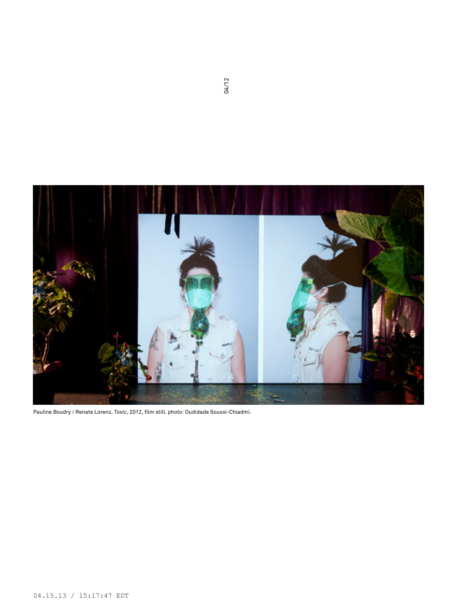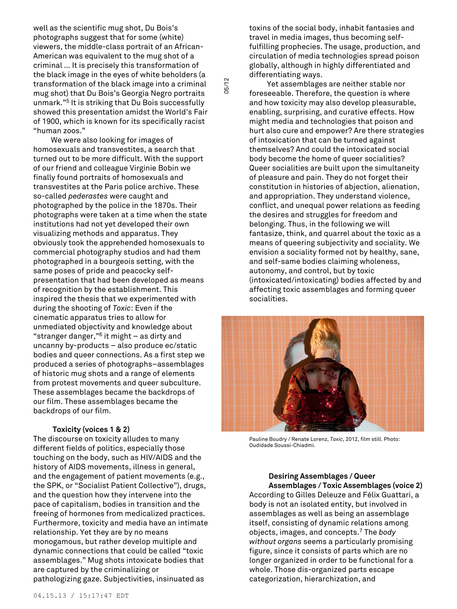well as the scientific mug shot, Du Bois's photographs suggest that for some (white) viewers, the middle-class portrait of an African-American was equivalent to the mug shot of a criminal … It is precisely this transformation of the black image in the eyes of white beholders (a transformation of the black image into a criminal mug shot) that Du Bois's Georgia Negro portraits unmark." <sup>5</sup> It is striking that Du Bois successfully showed this presentation amidst the World's Fair of 1900, which is known for its specifically racist "human zoos."

05/12

We were also looking for images of homosexuals and transvestites, a search that turned out to be more difficult. With the support of our friend and colleague Virginie Bobin we finally found portraits of homosexuals and transvestites at the Paris police archive. These so-called *pederastes* were caught and photographed by the police in the 1870s. Their photographs were taken at a time when the state institutions had not yet developed their own visualizing methods and apparatus. They obviously took the apprehended homosexuals to commercial photography studios and had them photographed in a bourgeois setting, with the same poses of pride and peacocky selfpresentation that had been developed as means of recognition by the establishment. This inspired the thesis that we experimented with during the shooting of *Toxic*: Even if the cinematic apparatus tries to allow for unmediated objectivity and knowledge about "stranger danger," <sup>6</sup> it might – as dirty and uncanny by-products – also produce ec/static bodies and queer connections. As a first step we produced a series of photographs–assemblages of historic mug shots and a range of elements from protest movements and queer subculture. These assemblages became the backdrops of our film. These assemblages became the backdrops of our film.

# **Toxicity (voices 1 & 2)**

The discourse on toxicity alludes to many different fields of politics, especially those touching on the body, such as HIV/AIDS and the history of AIDS movements, illness in general, and the engagement of patient movements (e.g., the SPK, or "Socialist Patient Collective"), drugs, and the question how they intervene into the pace of capitalism, bodies in transition and the freeing of hormones from medicalized practices. Furthermore, toxicity and media have an intimate relationship. Yet they are by no means monogamous, but rather develop multiple and dynamic connections that could be called "toxic assemblages." Mug shots intoxicate bodies that are captured by the criminalizing or

pathologizing gaze. Subjectivities, insinuated as

toxins of the social body, inhabit fantasies and travel in media images, thus becoming selffulfilling prophecies. The usage, production, and circulation of media technologies spread poison globally, although in highly differentiated and differentiating ways.

Yet assemblages are neither stable nor foreseeable. Therefore, the question is where and how toxicity may also develop pleasurable, enabling, surprising, and curative effects. How might media and technologies that poison and hurt also cure and empower? Are there strategies of intoxication that can be turned against themselves? And could the intoxicated social body become the home of queer socialities? Queer socialities are built upon the simultaneity of pleasure and pain. They do not forget their constitution in histories of abjection, alienation, and appropriation. They understand violence, conflict, and unequal power relations as feeding the desires and struggles for freedom and belonging. Thus, in the following we will fantasize, think, and quarrel about the toxic as a means of queering subjectivity and sociality. We envision a sociality formed not by healthy, sane, and self-same bodies claiming wholeness, autonomy, and control, but by toxic (intoxicated/intoxicating) bodies affected by and affecting toxic assemblages and forming queer socialities.



Pauline Boudry / Renate Lorenz, *Toxic*, 2012, film still. Photo: Oudidade Soussi-Chiadmi.

**Desiring Assemblages / Queer Assemblages / Toxic Assemblages (voice 2)**

According to Gilles Deleuze and Félix Guattari, a body is not an isolated entity, but involved in assemblages as well as being an assemblage itself, consisting of dynamic relations among objects, images, and concepts. <sup>7</sup> The *body without organs* seems a particularly promising figure, since it consists of parts which are no longer organized in order to be functional for a whole. Those dis-organized parts escape categorization, hierarchization, and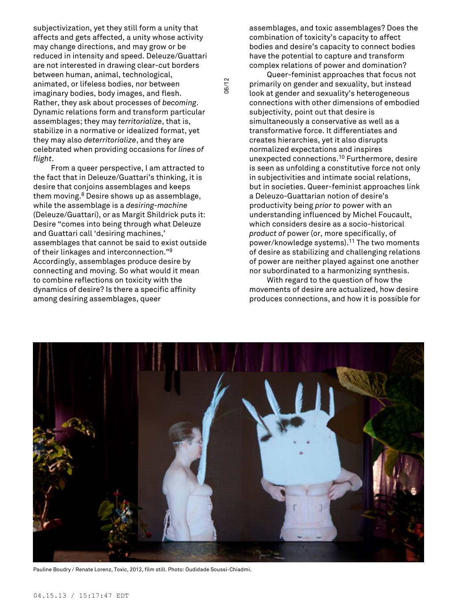subjectivization, yet they still form a unity that affects and gets affected, a unity whose activity may change directions, and may grow or be reduced in intensity and speed. Deleuze/Guattari are not interested in drawing clear-cut borders between human, animal, technological, animated, or lifeless bodies, nor between imaginary bodies, body images, and flesh. Rather, they ask about processes of *becoming*. Dynamic relations form and transform particular assemblages; they may *territorialize*, that is, stabilize in a normative or idealized format, yet they may also *deterritorialize*, and they are celebrated when providing occasions for *lines of flight*.

From a queer perspective, I am attracted to the fact that in Deleuze/Guattari's thinking, it is desire that conjoins assemblages and keeps them moving. <sup>8</sup> Desire shows up as assemblage, while the assemblage is a *desiring-machine* (Deleuze/Guattari), or as Margit Shildrick puts it: Desire "comes into being through what Deleuze and Guattari call 'desiring machines,' assemblages that cannot be said to exist outside of their linkages and interconnection." 9 Accordingly, assemblages produce desire by connecting and moving. So what would it mean to combine reflections on toxicity with the dynamics of desire? Is there a specific affinity among desiring assemblages, queer

assemblages, and toxic assemblages? Does the combination of toxicity's capacity to affect bodies and desire's capacity to connect bodies have the potential to capture and transform complex relations of power and domination?

Queer-feminist approaches that focus not primarily on gender and sexuality, but instead look at gender and sexuality's heterogeneous connections with other dimensions of embodied subjectivity, point out that desire is simultaneously a conservative as well as a transformative force. It differentiates and creates hierarchies, yet it also disrupts normalized expectations and inspires unexpected connections. <sup>10</sup> Furthermore, desire is seen as unfolding a constitutive force not only in subjectivities and intimate social relations, but in societies. Queer-feminist approaches link a Deleuzo-Guattarian notion of desire's productivity being *prior to* power with an understanding influenced by Michel Foucault, which considers desire as a socio-historical *product of* power (or, more specifically, of power/knowledge systems). <sup>11</sup> The two moments of desire as stabilizing and challenging relations of power are neither played against one another nor subordinated to a harmonizing synthesis.

With regard to the question of how the movements of desire are actualized, how desire produces connections, and how it is possible for



06/12

Pauline Boudry / Renate Lorenz, Toxic, 2012, film still. Photo: Oudidade Soussi-Chiadmi.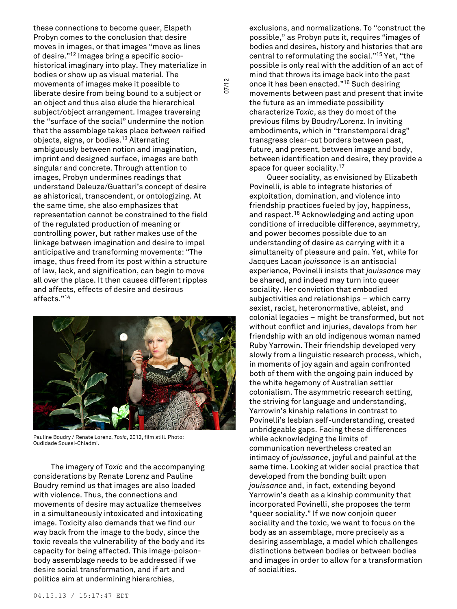these connections to become queer, Elspeth Probyn comes to the conclusion that desire moves in images, or that images "move as lines of desire." <sup>12</sup> Images bring a specific sociohistorical imaginary into play. They materialize in bodies or show up as visual material. The movements of images make it possible to liberate desire from being bound to a subject or an object and thus also elude the hierarchical subject/object arrangement. Images traversing the "surface of the social" undermine the notion that the assemblage takes place *between* reified objects, signs, or bodies. <sup>13</sup> Alternating ambiguously between notion and imagination, imprint and designed surface, images are both singular and concrete. Through attention to images, Probyn undermines readings that understand Deleuze/Guattari's concept of desire as ahistorical, transcendent, or ontologizing. At the same time, she also emphasizes that representation cannot be constrained to the field of the regulated production of meaning or controlling power, but rather makes use of the linkage between imagination and desire to impel anticipative and transforming movements: "The image, thus freed from its post within a structure of law, lack, and signification, can begin to move all over the place. It then causes different ripples and affects, effects of desire and desirous affects." 14



Pauline Boudry / Renate Lorenz, *Toxic*, 2012, film still. Photo: Oudidade Soussi-Chiadmi.

The imagery of *Toxic* and the accompanying considerations by Renate Lorenz and Pauline Boudry remind us that images are also loaded with violence. Thus, the connections and movements of desire may actualize themselves in a simultaneously intoxicated and intoxicating image. Toxicity also demands that we find our way back from the image to the body, since the toxic reveals the vulnerability of the body and its capacity for being affected. This image-poisonbody assemblage needs to be addressed if we desire social transformation, and if art and politics aim at undermining hierarchies,

exclusions, and normalizations. To "construct the possible," as Probyn puts it, requires "images of bodies and desires, history and histories that are central to reformulating the social." <sup>15</sup> Yet, "the possible is only real with the addition of an act of mind that throws its image back into the past once it has been enacted." <sup>16</sup> Such desiring movements between past and present that invite the future as an immediate possibility characterize *Toxic*, as they do most of the previous films by Boudry/Lorenz. In inviting embodiments, which in "transtemporal drag" transgress clear-cut borders between past, future, and present, between image and body, between identification and desire, they provide a space for queer sociality.<sup>17</sup>

07/12

Queer sociality, as envisioned by Elizabeth Povinelli, is able to integrate histories of exploitation, domination, and violence into friendship practices fueled by joy, happiness, and respect. <sup>18</sup> Acknowledging and acting upon conditions of irreducible difference, asymmetry, and power becomes possible due to an understanding of desire as carrying with it a simultaneity of pleasure and pain. Yet, while for Jacques Lacan *jouissance* is an antisocial experience, Povinelli insists that *jouissance* may be shared, and indeed may turn into queer sociality. Her conviction that embodied subjectivities and relationships – which carry sexist, racist, heteronormative, ableist, and colonial legacies – might be transformed, but not without conflict and injuries, develops from her friendship with an old indigenous woman named Ruby Yarrowin. Their friendship developed very slowly from a linguistic research process, which, in moments of joy again and again confronted both of them with the ongoing pain induced by the white hegemony of Australian settler colonialism. The asymmetric research setting, the striving for language and understanding, Yarrowin's kinship relations in contrast to Povinelli's lesbian self-understanding, created unbridgeable gaps. Facing these differences while acknowledging the limits of communication nevertheless created an intimacy of *jouissance*, joyful and painful at the same time. Looking at wider social practice that developed from the bonding built upon *jouissance* and, in fact, extending beyond Yarrowin's death as a kinship community that incorporated Povinelli, she proposes the term "queer sociality." If we now conjoin queer sociality and the toxic, we want to focus on the body as an assemblage, more precisely as a desiring assemblage, a model which challenges distinctions between bodies or between bodies and images in order to allow for a transformation of socialities.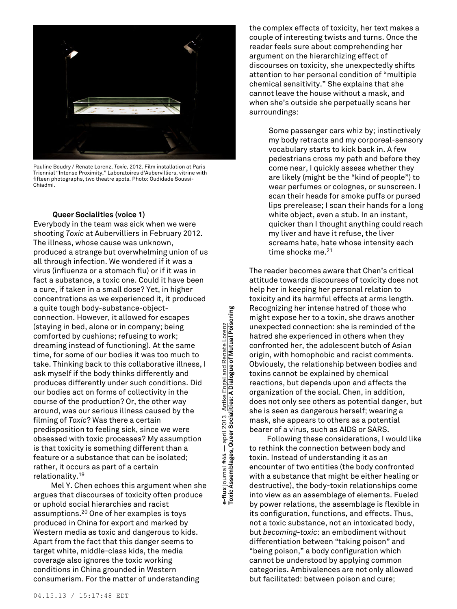

Pauline Boudry / Renate Lorenz, *Toxic*, 2012. Film installation at Paris Triennial "Intense Proximity," Laboratoires d'Aubervilliers, vitrine with fifteen photographs, two theatre spots. Photo: Oudidade Soussi-Chiadmi.

# **Queer Socialities (voice 1)**

Everybody in the team was sick when we were shooting *Toxic* at Aubervilliers in February 2012. The illness, whose cause was unknown, produced a strange but overwhelming union of us all through infection. We wondered if it was a virus (influenza or a stomach flu) or if it was in fact a substance, a toxic one. Could it have been a cure, if taken in a small dose? Yet, in higher concentrations as we experienced it, it produced a quite tough body-substance-objectconnection. However, it allowed for escapes (staying in bed, alone or in company; being comforted by cushions; refusing to work; dreaming instead of functioning). At the same time, for some of our bodies it was too much to take. Thinking back to this collaborative illness, I ask myself if the body thinks differently and produces differently under such conditions. Did our bodies act on forms of collectivity in the course of the production? Or, the other way around, was our serious illness caused by the filming of *Toxic*? Was there a certain predisposition to feeling sick, since we were obsessed with toxic processes? My assumption is that toxicity is something different than a feature or a substance that can be isolated; rather, it occurs as part of a certain relationality. 19

Mel Y. Chen echoes this argument when she argues that discourses of toxicity often produce or uphold social hierarchies and racist assumptions. <sup>20</sup> One of her examples is toys produced in China for export and marked by Western media as toxic and dangerous to kids. Apart from the fact that this danger seems to target white, middle-class kids, the media coverage also ignores the toxic working conditions in China grounded in Western consumerism. For the matter of understanding

e-flux journal #44 — april 2013 <u> Antke Engel and Renate Lorenz</u><br>Toxic Assemblages, Queer Socialities: A Dialogue of Mutual Poisoning **Toxic Assemblages, Queer Socialities: A Dialogue of Mutual Poisoning e-flux** journal #44 — april 2013 Antke Engel and Renate Lorenz

the complex effects of toxicity, her text makes a couple of interesting twists and turns. Once the reader feels sure about comprehending her argument on the hierarchizing effect of discourses on toxicity, she unexpectedly shifts attention to her personal condition of "multiple chemical sensitivity." She explains that she cannot leave the house without a mask, and when she's outside she perpetually scans her surroundings:

> Some passenger cars whiz by; instinctively my body retracts and my corporeal-sensory vocabulary starts to kick back in. A few pedestrians cross my path and before they come near, I quickly assess whether they are likely (might be the "kind of people") to wear perfumes or colognes, or sunscreen. I scan their heads for smoke puffs or pursed lips prerelease; I scan their hands for a long white object, even a stub. In an instant, quicker than I thought anything could reach my liver and have it refuse, the liver screams hate, hate whose intensity each time shocks me. 21

The reader becomes aware that Chen's critical attitude towards discourses of toxicity does not help her in keeping her personal relation to toxicity and its harmful effects at arms length. Recognizing her intense hatred of those who might expose her to a toxin, she draws another unexpected connection: she is reminded of the hatred she experienced in others when they confronted her, the adolescent butch of Asian origin, with homophobic and racist comments. Obviously, the relationship between bodies and toxins cannot be explained by chemical reactions, but depends upon and affects the organization of the social. Chen, in addition, does not only see others as potential danger, but she is seen as dangerous herself; wearing a mask, she appears to others as a potential bearer of a virus, such as AIDS or SARS.

Following these considerations, I would like to rethink the connection between body and toxin. Instead of understanding it as an encounter of two entities (the body confronted with a substance that might be either healing or destructive), the body-toxin relationships come into view as an assemblage of elements. Fueled by power relations, the assemblage is flexible in its configuration, functions, and effects. Thus, not a toxic substance, not an intoxicated body, but *becoming-toxic*: an embodiment without differentiation between "taking poison" and "being poison," a body configuration which cannot be understood by applying common categories. Ambivalences are not only allowed but facilitated: between poison and cure;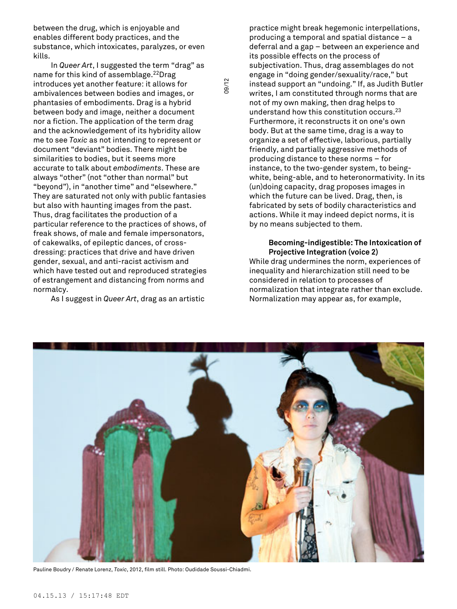between the drug, which is enjoyable and enables different body practices, and the substance, which intoxicates, paralyzes, or even kills.

In *Queer Art*, I suggested the term "drag" as name for this kind of assemblage. <sup>22</sup>Drag introduces yet another feature: it allows for ambivalences between bodies and images, or phantasies of embodiments. Drag is a hybrid between body and image, neither a document nor a fiction. The application of the term drag and the acknowledgement of its hybridity allow me to see *Toxic* as not intending to represent or document "deviant" bodies. There might be similarities to bodies, but it seems more accurate to talk about *embodiments*. These are always "other" (not "other than normal" but "beyond"), in "another time" and "elsewhere." They are saturated not only with public fantasies but also with haunting images from the past. Thus, drag facilitates the production of a particular reference to the practices of shows, of freak shows, of male and female impersonators, of cakewalks, of epileptic dances, of crossdressing: practices that drive and have driven gender, sexual, and anti-racist activism and which have tested out and reproduced strategies of estrangement and distancing from norms and normalcy.

As I suggest in *Queer Art*, drag as an artistic

practice might break hegemonic interpellations, producing a temporal and spatial distance – a deferral and a gap – between an experience and its possible effects on the process of subjectivation. Thus, drag assemblages do not engage in "doing gender/sexuality/race," but instead support an "undoing." If, as Judith Butler writes, I am constituted through norms that are not of my own making, then drag helps to understand how this constitution occurs. 23 Furthermore, it reconstructs it on one's own body. But at the same time, drag is a way to organize a set of effective, laborious, partially friendly, and partially aggressive methods of producing distance to these norms – for instance, to the two-gender system, to beingwhite, being-able, and to heteronormativity. In its (un)doing capacity, drag proposes images in which the future can be lived. Drag, then, is fabricated by sets of bodily characteristics and actions. While it may indeed depict norms, it is by no means subjected to them.

# **Becoming-indigestible: The Intoxication of Projective Integration (voice 2)**

While drag undermines the norm, experiences of inequality and hierarchization still need to be considered in relation to processes of normalization that integrate rather than exclude. Normalization may appear as, for example,



09/12

Pauline Boudry / Renate Lorenz, *Toxic*, 2012, film still. Photo: Oudidade Soussi-Chiadmi.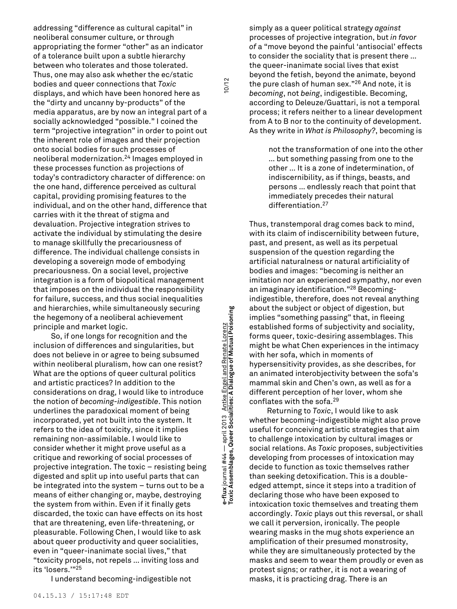addressing "difference as cultural capital" in neoliberal consumer culture, or through appropriating the former "other" as an indicator of a tolerance built upon a subtle hierarchy between who tolerates and those tolerated. Thus, one may also ask whether the ec/static bodies and queer connections that *Toxic* displays, and which have been honored here as the "dirty and uncanny by-products" of the media apparatus, are by now an integral part of a socially acknowledged "possible." I coined the term "projective integration" in order to point out the inherent role of images and their projection onto social bodies for such processes of neoliberal modernization. <sup>24</sup> Images employed in these processes function as projections of today's contradictory character of difference: on the one hand, difference perceived as cultural capital, providing promising features to the individual, and on the other hand, difference that carries with it the threat of stigma and devaluation. Projective integration strives to activate the individual by stimulating the desire to manage skillfully the precariousness of difference. The individual challenge consists in developing a sovereign mode of embodying precariousness. On a social level, projective integration is a form of biopolitical management that imposes on the individual the responsibility for failure, success, and thus social inequalities and hierarchies, while simultaneously securing the hegemony of a neoliberal achievement principle and market logic.

So, if one longs for recognition and the inclusion of differences and singularities, but does not believe in or agree to being subsumed within neoliberal pluralism, how can one resist? What are the options of queer cultural politics and artistic practices? In addition to the considerations on drag, I would like to introduce the notion of *becoming-indigestible*. This notion underlines the paradoxical moment of being incorporated, yet not built into the system. It refers to the idea of toxicity, since it implies remaining non-assimilable. I would like to consider whether it might prove useful as a critique and reworking of social processes of projective integration. The toxic – resisting being digested and split up into useful parts that can be integrated into the system – turns out to be a means of either changing or, maybe, destroying the system from within. Even if it finally gets discarded, the toxic can have effects on its host that are threatening, even life-threatening, or pleasurable. Following Chen, I would like to ask about queer productivity and queer socialities, even in "queer-inanimate social lives," that "toxicity propels, not repels … inviting loss and its 'losers.'" 25

I understand becoming-indigestible not

**Toxic Assemblages, Queer Socialities: A Dialogue of Mutual Poisoning** 10/12 e-flux journal #44 — april 2013 <u> Antke Engel and Renate Lorenz</u><br>Toxic Assemblages, Queer Socialities: A Dialogue of Mutual Poisoning **e-flux** journal #44 — april 2013 Antke Engel and Renate Lorenz

 $10/12$ 

simply as a queer political strategy *against* processes of projective integration, but *in favor of* a "move beyond the painful 'antisocial' effects to consider the sociality that is present there … the queer-inanimate social lives that exist beyond the fetish, beyond the animate, beyond the pure clash of human sex." <sup>26</sup> And note, it is *becoming*, not *being*, indigestible. Becoming, according to Deleuze/Guattari, is not a temporal process; it refers neither to a linear development from A to B nor to the continuity of development. As they write in *What is Philosophy?*, becoming is

> not the transformation of one into the other … but something passing from one to the other … It is a zone of indetermination, of indiscernibility, as if things, beasts, and persons … endlessly reach that point that immediately precedes their natural differentiation. 27

Thus, transtemporal drag comes back to mind, with its claim of indiscernibility between future, past, and present, as well as its perpetual suspension of the question regarding the artificial naturalness or natural artificiality of bodies and images: "becoming is neither an imitation nor an experienced sympathy, nor even an imaginary identification." <sup>28</sup> Becomingindigestible, therefore, does not reveal anything about the subject or object of digestion, but implies "something passing" that, in fleeing established forms of subjectivity and sociality, forms queer, toxic-desiring assemblages. This might be what Chen experiences in the intimacy with her sofa, which in moments of hypersensitivity provides, as she describes, for an animated interobjectivity between the sofa's mammal skin and Chen's own, as well as for a different perception of her lover, whom she conflates with the sofa. 29

Returning to *Toxic*, I would like to ask whether becoming-indigestible might also prove useful for conceiving artistic strategies that aim to challenge intoxication by cultural images or social relations. As *Toxic* proposes, subjectivities developing from processes of intoxication may decide to function as toxic themselves rather than seeking detoxification. This is a doubleedged attempt, since it steps into a tradition of declaring those who have been exposed to intoxication toxic themselves and treating them accordingly. *Toxic* plays out this reversal, or shall we call it perversion, ironically. The people wearing masks in the mug shots experience an amplification of their presumed monstrosity, while they are simultaneously protected by the masks and seem to wear them proudly or even as protest signs; or rather, it is not a wearing of masks, it is practicing drag. There is an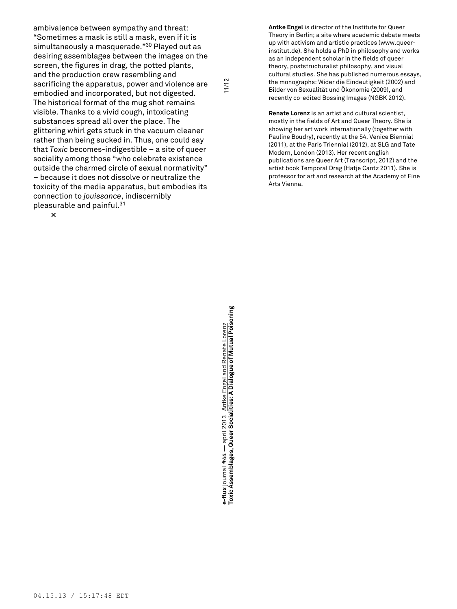ambivalence between sympathy and threat: "Sometimes a mask is still a mask, even if it is simultaneously a masquerade." <sup>30</sup> Played out as desiring assemblages between the images on the screen, the figures in drag, the potted plants, and the production crew resembling and sacrificing the apparatus, power and violence are embodied and incorporated, but not digested. The historical format of the mug shot remains visible. Thanks to a vivid cough, intoxicating substances spread all over the place. The glittering whirl gets stuck in the vacuum cleaner rather than being sucked in. Thus, one could say that *Toxic* becomes-indigestible – a site of queer sociality among those "who celebrate existence outside the charmed circle of sexual normativity" – because it does not dissolve or neutralize the toxicity of the media apparatus, but embodies its connection to *jouissance*, indiscernibly pleasurable and painful. 31

**Antke Engel** is director of the Institute for Queer Theory in Berlin; a site where academic debate meets up with activism and artistic practices (www.queerinstitut.de). She holds a PhD in philosophy and works as an independent scholar in the fields of queer theory, poststructuralist philosophy, and visual cultural studies. She has published numerous essays, the monographs: Wider die Eindeutigkeit (2002) and Bilder von Sexualität und Ökonomie (2009), and recently co-edited Bossing Images (NGBK 2012).

**Renate Lorenz** is an artist and cultural scientist, mostly in the fields of Art and Queer Theory. She is showing her art work internationally (together with Pauline Boudry), recently at the 54. Venice Biennial (2011), at the Paris Triennial (2012), at SLG and Tate Modern, London (2013). Her recent english publications are Queer Art (Transcript, 2012) and the artist book Temporal Drag (Hatje Cantz 2011). She is professor for art and research at the Academy of Fine Arts Vienna.

**×**

**Toxic Assemblages, Queer Socialities: A Dialogue of Mutual Poisoning** 11/12 e-flux journal #44 — april 2013 <u>Antke Engel and Renate Lorenz</u><br>Toxic Assemblages, Queer Socialities: A Dialogue of Mutual Poisoning **e-flux** journal #44 — april 2013 Antke Engel and Renate Lorenz

 $11/12$